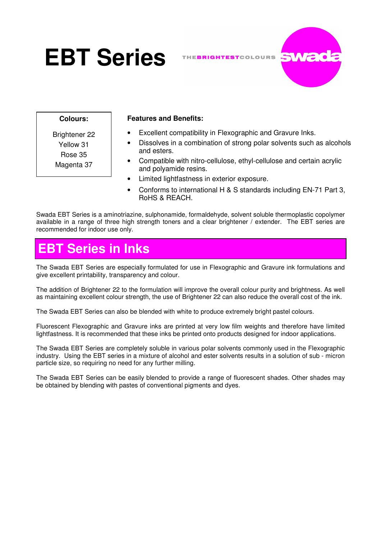# **EBT Series**

THEBRIGHTESTCOLOURS .



**Colours:**

Brightener 22 Yellow 31 Rose 35 Magenta 37

#### **Features and Benefits:**

- Excellent compatibility in Flexographic and Gravure Inks.
- Dissolves in a combination of strong polar solvents such as alcohols and esters.
- Compatible with nitro-cellulose, ethyl-cellulose and certain acrylic and polyamide resins.
- Limited lightfastness in exterior exposure.
- Conforms to international H & S standards including EN-71 Part 3, RoHS & REACH.

Swada EBT Series is a aminotriazine, sulphonamide, formaldehyde, solvent soluble thermoplastic copolymer available in a range of three high strength toners and a clear brightener / extender. The EBT series are recommended for indoor use only.

# **EBT Series in Inks**

The Swada EBT Series are especially formulated for use in Flexographic and Gravure ink formulations and give excellent printability, transparency and colour.

The addition of Brightener 22 to the formulation will improve the overall colour purity and brightness. As well as maintaining excellent colour strength, the use of Brightener 22 can also reduce the overall cost of the ink.

The Swada EBT Series can also be blended with white to produce extremely bright pastel colours.

Fluorescent Flexographic and Gravure inks are printed at very low film weights and therefore have limited lightfastness. It is recommended that these inks be printed onto products designed for indoor applications.

The Swada EBT Series are completely soluble in various polar solvents commonly used in the Flexographic industry. Using the EBT series in a mixture of alcohol and ester solvents results in a solution of sub - micron particle size, so requiring no need for any further milling.

The Swada EBT Series can be easily blended to provide a range of fluorescent shades. Other shades may be obtained by blending with pastes of conventional pigments and dyes.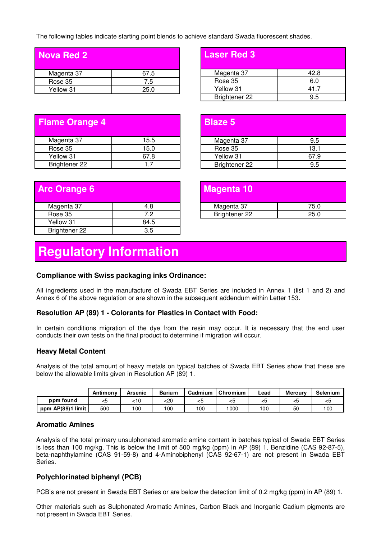The following tables indicate starting point blends to achieve standard Swada fluorescent shades.

**Blaze 5** 

| <b>Nova Red 2</b> |      |
|-------------------|------|
| Magenta 37        | 67.5 |
| Rose 35           | 7.5  |
| Yellow 31         | 25.0 |

| <b>Laser Red 3</b> |      |
|--------------------|------|
| Magenta 37         | 42.8 |
| Rose 35            | 6.0  |
| Yellow 31          | 41.7 |
| Brightener 22      | 9.5  |

| <b>Flame Orange 4</b> |      |  |  |  |
|-----------------------|------|--|--|--|
| Magenta 37            | 15.5 |  |  |  |
| Rose 35               | 15.0 |  |  |  |
| Yellow 31             | 67.8 |  |  |  |
| Brightener 22         | 17   |  |  |  |

| <b>Arc Orange 6</b>  |      |
|----------------------|------|
| Magenta 37           | 4.8  |
| Rose 35              | 72   |
| Yellow 31            | 84.5 |
| <b>Brightener 22</b> | 35   |

| Magenta 10    |      |
|---------------|------|
| Magenta 37    | 75.0 |
| Brightener 22 | 25.0 |
|               |      |

Magenta 37 and 9.5 Rose 35 13.1 Yellow 31 67.9 Brightener 22 9.5

## **Regulatory Information**

#### **Compliance with Swiss packaging inks Ordinance:**

All ingredients used in the manufacture of Swada EBT Series are included in Annex 1 (list 1 and 2) and Annex 6 of the above regulation or are shown in the subsequent addendum within Letter 153.

#### **Resolution AP (89) 1 - Colorants for Plastics in Contact with Food:**

In certain conditions migration of the dye from the resin may occur. It is necessary that the end user conducts their own tests on the final product to determine if migration will occur.

#### **Heavy Metal Content**

Analysis of the total amount of heavy metals on typical batches of Swada EBT Series show that these are below the allowable limits given in Resolution AP (89) 1.

|                   | Antimony | Arsenic | <b>Barium</b> | Cadmium | Chromium | Lead | <b>Mercury</b> | <b>Selenium</b> |
|-------------------|----------|---------|---------------|---------|----------|------|----------------|-----------------|
| ppm found         | <ວ       | 10ء     | <20           | ີ       | <5       | ≺ວ   |                | くこ              |
| ppm AP(89)1 limit | 500      | 00      | 100           | 100     | 000      | 100  | 50             | 100             |

#### **Aromatic Amines**

Analysis of the total primary unsulphonated aromatic amine content in batches typical of Swada EBT Series is less than 100 mg/kg. This is below the limit of 500 mg/kg (ppm) in AP (89) 1. Benzidine (CAS 92-87-5), beta-naphthylamine (CAS 91-59-8) and 4-Aminobiphenyl (CAS 92-67-1) are not present in Swada EBT Series.

#### **Polychlorinated biphenyl (PCB)**

PCB's are not present in Swada EBT Series or are below the detection limit of 0.2 mg/kg (ppm) in AP (89) 1.

Other materials such as Sulphonated Aromatic Amines, Carbon Black and Inorganic Cadium pigments are not present in Swada EBT Series.